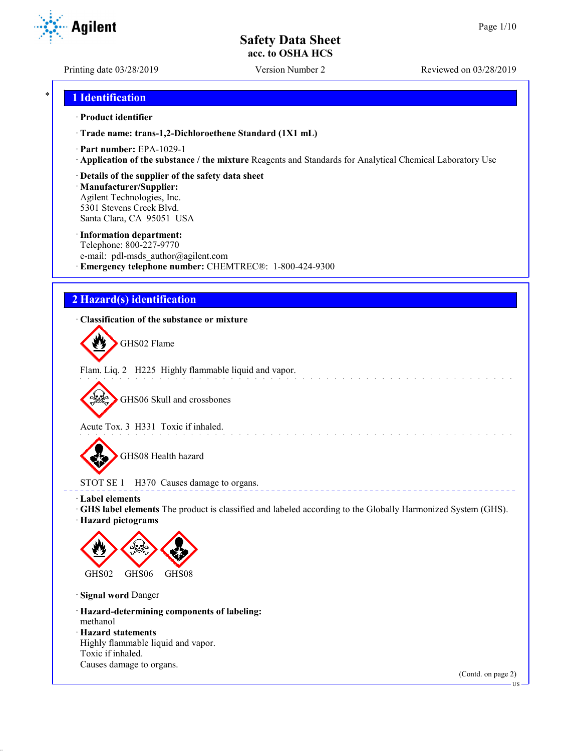Printing date 03/28/2019 Version Number 2 Reviewed on 03/28/2019

### \* **1 Identification**

#### · **Product identifier**

· **Trade name: trans-1,2-Dichloroethene Standard (1X1 mL)**

- · **Part number:** EPA-1029-1
- · **Application of the substance / the mixture** Reagents and Standards for Analytical Chemical Laboratory Use
- · **Details of the supplier of the safety data sheet**

· **Manufacturer/Supplier:** Agilent Technologies, Inc. 5301 Stevens Creek Blvd. Santa Clara, CA 95051 USA

#### · **Information department:**

Telephone: 800-227-9770 e-mail: pdl-msds author@agilent.com · **Emergency telephone number:** CHEMTREC®: 1-800-424-9300

## **2 Hazard(s) identification**

#### · **Classification of the substance or mixture**

GHS02 Flame

Flam. Liq. 2 H225 Highly flammable liquid and vapor.

GHS06 Skull and crossbones

Acute Tox. 3 H331 Toxic if inhaled.

GHS08 Health hazard

STOT SE 1 H370 Causes damage to organs.

· **Label elements**

· **GHS label elements** The product is classified and labeled according to the Globally Harmonized System (GHS).

and the state of the state of the

**ELECT** 

· **Hazard pictograms**



· **Signal word** Danger

· **Hazard-determining components of labeling:** methanol

· **Hazard statements**

Highly flammable liquid and vapor. Toxic if inhaled. Causes damage to organs.

(Contd. on page 2)



US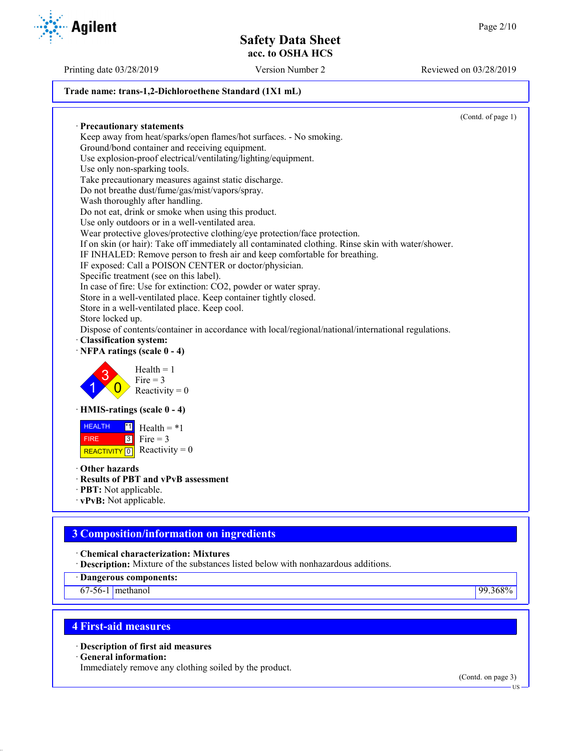#### **Trade name: trans-1,2-Dichloroethene Standard (1X1 mL)**

(Contd. of page 1) · **Precautionary statements** Keep away from heat/sparks/open flames/hot surfaces. - No smoking. Ground/bond container and receiving equipment. Use explosion-proof electrical/ventilating/lighting/equipment. Use only non-sparking tools. Take precautionary measures against static discharge. Do not breathe dust/fume/gas/mist/vapors/spray. Wash thoroughly after handling. Do not eat, drink or smoke when using this product. Use only outdoors or in a well-ventilated area. Wear protective gloves/protective clothing/eye protection/face protection. If on skin (or hair): Take off immediately all contaminated clothing. Rinse skin with water/shower. IF INHALED: Remove person to fresh air and keep comfortable for breathing. IF exposed: Call a POISON CENTER or doctor/physician. Specific treatment (see on this label). In case of fire: Use for extinction: CO2, powder or water spray. Store in a well-ventilated place. Keep container tightly closed. Store in a well-ventilated place. Keep cool. Store locked up. Dispose of contents/container in accordance with local/regional/national/international regulations. · **Classification system:** · **NFPA ratings (scale 0 - 4)** 1 3  $\overline{0}$  $Health = 1$  $Fire = 3$ Reactivity  $= 0$ · **HMIS-ratings (scale 0 - 4) HEALTH**  FIRE REACTIVITY  $\boxed{0}$  Reactivity = 0  $\overline{1}$  Health = \*1  $3$  Fire = 3 · **Other hazards** · **Results of PBT and vPvB assessment** · **PBT:** Not applicable. · **vPvB:** Not applicable.

## **3 Composition/information on ingredients**

· **Chemical characterization: Mixtures**

· **Description:** Mixture of the substances listed below with nonhazardous additions.

· **Dangerous components:**

67-56-1 methanol 99.368%

## **4 First-aid measures**

· **Description of first aid measures**

· **General information:**

Immediately remove any clothing soiled by the product.

(Contd. on page 3)



Printing date 03/28/2019 Version Number 2 Reviewed on 03/28/2019

US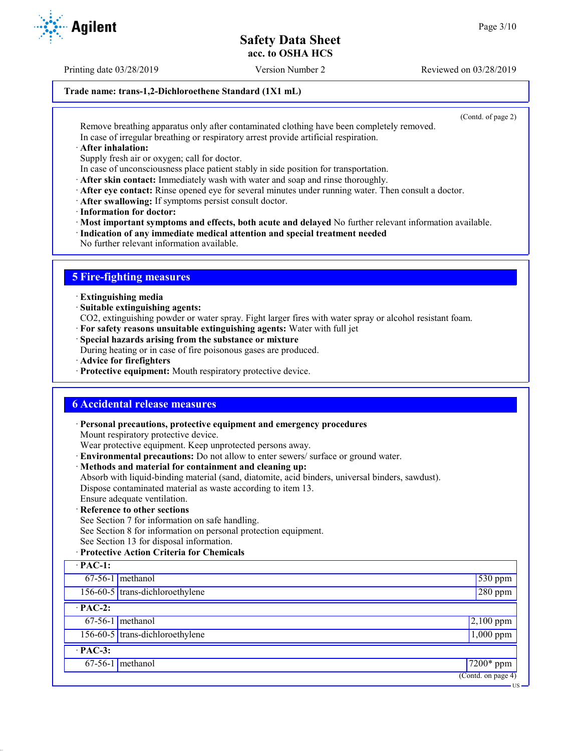Printing date 03/28/2019 Version Number 2 Reviewed on 03/28/2019

#### **Trade name: trans-1,2-Dichloroethene Standard (1X1 mL)**

(Contd. of page 2)

US

Remove breathing apparatus only after contaminated clothing have been completely removed. In case of irregular breathing or respiratory arrest provide artificial respiration.

· **After inhalation:**

Supply fresh air or oxygen; call for doctor.

- In case of unconsciousness place patient stably in side position for transportation.
- · **After skin contact:** Immediately wash with water and soap and rinse thoroughly.
- · **After eye contact:** Rinse opened eye for several minutes under running water. Then consult a doctor.
- · **After swallowing:** If symptoms persist consult doctor.
- · **Information for doctor:**

· **Most important symptoms and effects, both acute and delayed** No further relevant information available.

- · **Indication of any immediate medical attention and special treatment needed**
- No further relevant information available.

## **5 Fire-fighting measures**

- · **Extinguishing media**
- · **Suitable extinguishing agents:**
- CO2, extinguishing powder or water spray. Fight larger fires with water spray or alcohol resistant foam.
- · **For safety reasons unsuitable extinguishing agents:** Water with full jet
- · **Special hazards arising from the substance or mixture**

During heating or in case of fire poisonous gases are produced.

- · **Advice for firefighters**
- · **Protective equipment:** Mouth respiratory protective device.

## **6 Accidental release measures**

· **Personal precautions, protective equipment and emergency procedures**

Mount respiratory protective device.

Wear protective equipment. Keep unprotected persons away.

- · **Environmental precautions:** Do not allow to enter sewers/ surface or ground water.
- · **Methods and material for containment and cleaning up:**

Absorb with liquid-binding material (sand, diatomite, acid binders, universal binders, sawdust). Dispose contaminated material as waste according to item 13.

Ensure adequate ventilation.

#### · **Reference to other sections**

See Section 7 for information on safe handling.

See Section 8 for information on personal protection equipment.

See Section 13 for disposal information.

#### · **Protective Action Criteria for Chemicals**

| $\cdot$ PAC-1:                         |                                   |                    |  |
|----------------------------------------|-----------------------------------|--------------------|--|
|                                        | $67-56-1$ methanol                | $\sqrt{530}$ ppm   |  |
|                                        | 156-60-5 trans-dichloroethylene   | $280$ ppm          |  |
| $\cdot$ PAC-2:                         |                                   |                    |  |
|                                        | $67-56-1$ methanol                | $2,100$ ppm        |  |
|                                        | $156-60-5$ trans-dichloroethylene | $1,000$ ppm        |  |
| $\cdot$ PAC-3:                         |                                   |                    |  |
|                                        | $67-56-1$ methanol                | $\sqrt{7200*}$ ppm |  |
| $\overline{(\text{Contd. on page 4})}$ |                                   |                    |  |

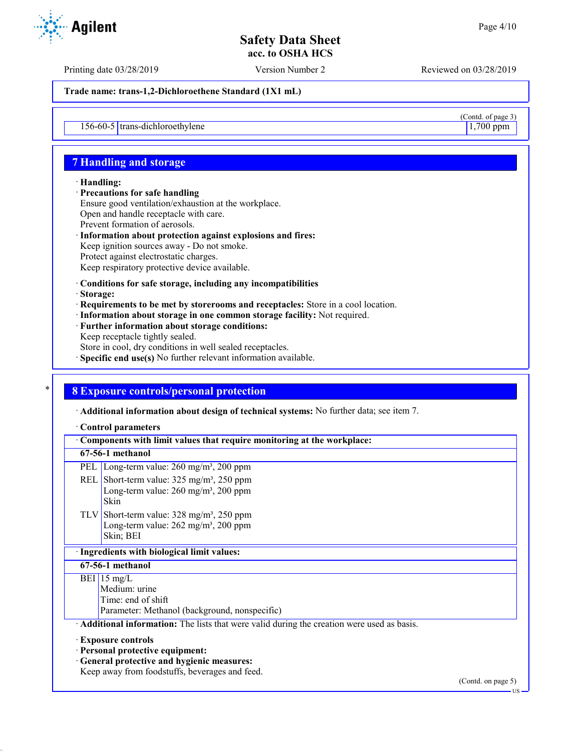$\frac{(\text{Contd. of page 3})}{1,700 \text{ ppm}}$ 

## **Safety Data Sheet acc. to OSHA HCS**

Printing date 03/28/2019 Version Number 2 Reviewed on 03/28/2019

**Trade name: trans-1,2-Dichloroethene Standard (1X1 mL)**

 $156-60-5$  trans-dichloroethylene

## **7 Handling and storage**

#### · **Handling:**

- · **Precautions for safe handling** Ensure good ventilation/exhaustion at the workplace. Open and handle receptacle with care. Prevent formation of aerosols. · **Information about protection against explosions and fires:**
- Keep ignition sources away Do not smoke. Protect against electrostatic charges. Keep respiratory protective device available.
- · **Conditions for safe storage, including any incompatibilities**
- · **Storage:**
- · **Requirements to be met by storerooms and receptacles:** Store in a cool location.
- · **Information about storage in one common storage facility:** Not required.
- · **Further information about storage conditions:**
- Keep receptacle tightly sealed.
- Store in cool, dry conditions in well sealed receptacles.
- · **Specific end use(s)** No further relevant information available.

## \* **8 Exposure controls/personal protection**

· **Additional information about design of technical systems:** No further data; see item 7.

#### · **Control parameters**

| Components with limit values that require monitoring at the workplace:                    |                                                                                                                                                                                     |  |
|-------------------------------------------------------------------------------------------|-------------------------------------------------------------------------------------------------------------------------------------------------------------------------------------|--|
| 67-56-1 methanol                                                                          |                                                                                                                                                                                     |  |
| PEL                                                                                       | Long-term value: $260$ mg/m <sup>3</sup> , $200$ ppm                                                                                                                                |  |
|                                                                                           | REL Short-term value: $325 \text{ mg/m}^3$ , $250 \text{ ppm}$<br>Long-term value: $260 \text{ mg/m}^3$ , $200 \text{ ppm}$<br>Skin                                                 |  |
|                                                                                           | TLV Short-term value: $328 \text{ mg/m}^3$ , $250 \text{ ppm}$<br>Long-term value: $262 \text{ mg/m}^3$ , $200 \text{ ppm}$<br>Skin; BEI                                            |  |
| · Ingredients with biological limit values:                                               |                                                                                                                                                                                     |  |
| 67-56-1 methanol                                                                          |                                                                                                                                                                                     |  |
|                                                                                           | $BEI$ 15 mg/L<br>Medium: urine<br>Time: end of shift<br>Parameter: Methanol (background, nonspecific)                                                                               |  |
| Additional information: The lists that were valid during the creation were used as basis. |                                                                                                                                                                                     |  |
|                                                                                           | <b>Exposure controls</b><br>· Personal protective equipment:<br>· General protective and hygienic measures:<br>Keep away from foodstuffs, beverages and feed.<br>(Contd. on page 5) |  |

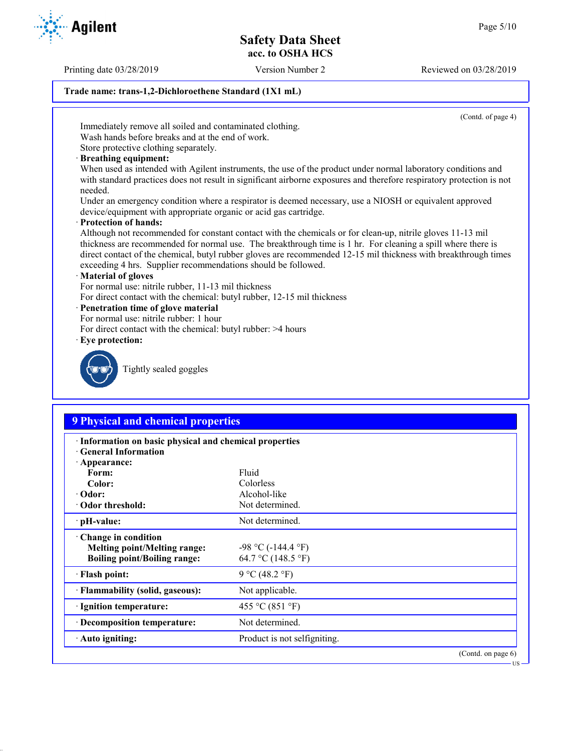Printing date 03/28/2019 Version Number 2 Reviewed on 03/28/2019

#### **Trade name: trans-1,2-Dichloroethene Standard (1X1 mL)**

(Contd. of page 4)

Immediately remove all soiled and contaminated clothing. Wash hands before breaks and at the end of work.

Store protective clothing separately.

· **Breathing equipment:**

When used as intended with Agilent instruments, the use of the product under normal laboratory conditions and with standard practices does not result in significant airborne exposures and therefore respiratory protection is not needed.

Under an emergency condition where a respirator is deemed necessary, use a NIOSH or equivalent approved device/equipment with appropriate organic or acid gas cartridge.

· **Protection of hands:**

Although not recommended for constant contact with the chemicals or for clean-up, nitrile gloves 11-13 mil thickness are recommended for normal use. The breakthrough time is 1 hr. For cleaning a spill where there is direct contact of the chemical, butyl rubber gloves are recommended 12-15 mil thickness with breakthrough times exceeding 4 hrs. Supplier recommendations should be followed.

#### · **Material of gloves**

For normal use: nitrile rubber, 11-13 mil thickness

For direct contact with the chemical: butyl rubber, 12-15 mil thickness

#### · **Penetration time of glove material**

- For normal use: nitrile rubber: 1 hour
- For direct contact with the chemical: butyl rubber: >4 hours
- · **Eye protection:**



Tightly sealed goggles

## **9 Physical and chemical properties**

| · Information on basic physical and chemical properties<br><b>Ceneral Information</b> |                              |                       |  |  |
|---------------------------------------------------------------------------------------|------------------------------|-----------------------|--|--|
| $\cdot$ Appearance:                                                                   |                              |                       |  |  |
| Form:                                                                                 | Fluid                        |                       |  |  |
| Color:                                                                                | Colorless                    |                       |  |  |
| $\cdot$ Odor:                                                                         | Alcohol-like                 |                       |  |  |
| Odor threshold:                                                                       | Not determined.              |                       |  |  |
| $\cdot$ pH-value:                                                                     | Not determined.              |                       |  |  |
| Change in condition                                                                   |                              |                       |  |  |
| <b>Melting point/Melting range:</b>                                                   | $-98$ °C ( $-144.4$ °F)      |                       |  |  |
| <b>Boiling point/Boiling range:</b>                                                   | 64.7 °C (148.5 °F)           |                       |  |  |
| · Flash point:                                                                        | 9 °C (48.2 °F)               |                       |  |  |
| · Flammability (solid, gaseous):                                                      | Not applicable.              |                       |  |  |
| · Ignition temperature:                                                               | 455 °C (851 °F)              |                       |  |  |
| · Decomposition temperature:                                                          | Not determined.              |                       |  |  |
| $\cdot$ Auto igniting:                                                                | Product is not selfigniting. |                       |  |  |
|                                                                                       |                              | (Contd. on page $6$ ) |  |  |

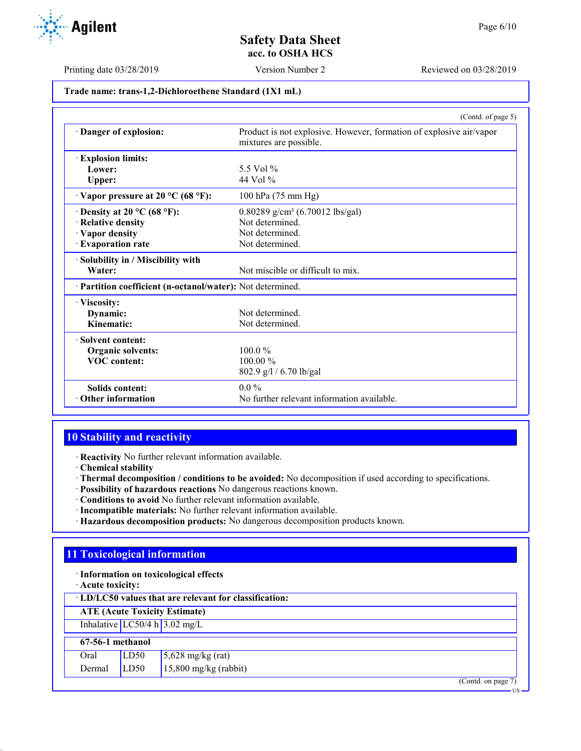

Printing date 03/28/2019 Version Number 2 Reviewed on 03/28/2019

## **Trade name: trans-1,2-Dichloroethene Standard (1X1 mL)**

|                                                            | (Contd. of page 5)                                                                            |
|------------------------------------------------------------|-----------------------------------------------------------------------------------------------|
| Danger of explosion:                                       | Product is not explosive. However, formation of explosive air/vapor<br>mixtures are possible. |
| <b>Explosion limits:</b>                                   |                                                                                               |
| Lower:                                                     | 5.5 Vol %                                                                                     |
| Upper:                                                     | 44 Vol $\%$                                                                                   |
| $\cdot$ Vapor pressure at 20 °C (68 °F):                   | 100 hPa (75 mm Hg)                                                                            |
| $\cdot$ Density at 20 °C (68 °F):                          | $0.80289$ g/cm <sup>3</sup> (6.70012 lbs/gal)                                                 |
| · Relative density                                         | Not determined.                                                                               |
| · Vapor density                                            | Not determined.                                                                               |
| · Evaporation rate                                         | Not determined.                                                                               |
| · Solubility in / Miscibility with                         |                                                                                               |
| Water:                                                     | Not miscible or difficult to mix.                                                             |
| · Partition coefficient (n-octanol/water): Not determined. |                                                                                               |
| · Viscosity:                                               |                                                                                               |
| Dynamic:                                                   | Not determined.                                                                               |
| Kinematic:                                                 | Not determined.                                                                               |
| · Solvent content:                                         |                                                                                               |
| <b>Organic solvents:</b>                                   | $100.0\%$                                                                                     |
| <b>VOC</b> content:                                        | $100.00\%$                                                                                    |
|                                                            | 802.9 g/l / 6.70 lb/gal                                                                       |
| Solids content:                                            | $0.0\%$                                                                                       |
| $\cdot$ Other information                                  | No further relevant information available.                                                    |

## **10 Stability and reactivity**

· **Reactivity** No further relevant information available.

- · **Chemical stability**
- · **Thermal decomposition / conditions to be avoided:** No decomposition if used according to specifications.
- · **Possibility of hazardous reactions** No dangerous reactions known.
- · **Conditions to avoid** No further relevant information available.
- · **Incompatible materials:** No further relevant information available.
- · **Hazardous decomposition products:** No dangerous decomposition products known.

## **11 Toxicological information**

- · **Information on toxicological effects**
- · **Acute toxicity:**

| LD/LC50 values that are relevant for classification: |  |  |  |  |  |
|------------------------------------------------------|--|--|--|--|--|
| <b>ATE</b> (Acute Toxicity Estimate)                 |  |  |  |  |  |
| Inhalative $LC50/4 h 3.02 mg/L$                      |  |  |  |  |  |
| 67-56-1 methanol                                     |  |  |  |  |  |
| LD50<br>5,628 mg/kg (rat)<br>Oral                    |  |  |  |  |  |
| $15,800$ mg/kg (rabbit)<br>LD50<br>Dermal            |  |  |  |  |  |

(Contd. on page 7) US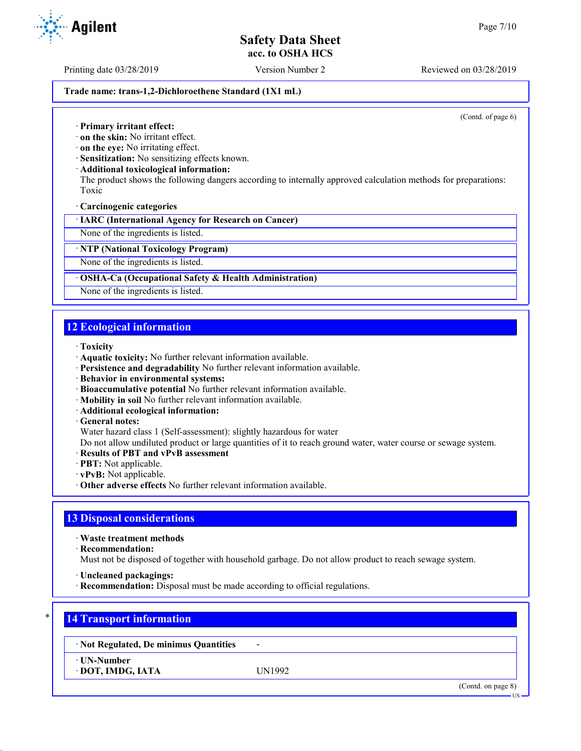Printing date 03/28/2019 Version Number 2 Reviewed on 03/28/2019

#### **Trade name: trans-1,2-Dichloroethene Standard (1X1 mL)**

(Contd. of page 6)

- · **Primary irritant effect:**
- · **on the skin:** No irritant effect.
- · **on the eye:** No irritating effect.
- · **Sensitization:** No sensitizing effects known.
- · **Additional toxicological information:**

The product shows the following dangers according to internally approved calculation methods for preparations: Toxic

· **Carcinogenic categories**

· **IARC (International Agency for Research on Cancer)**

None of the ingredients is listed.

· **NTP (National Toxicology Program)**

None of the ingredients is listed.

#### · **OSHA-Ca (Occupational Safety & Health Administration)**

None of the ingredients is listed.

## **12 Ecological information**

- · **Toxicity**
- · **Aquatic toxicity:** No further relevant information available.
- · **Persistence and degradability** No further relevant information available.
- · **Behavior in environmental systems:**
- · **Bioaccumulative potential** No further relevant information available.
- · **Mobility in soil** No further relevant information available.
- · **Additional ecological information:**
- · **General notes:**
- Water hazard class 1 (Self-assessment): slightly hazardous for water

Do not allow undiluted product or large quantities of it to reach ground water, water course or sewage system.

- · **Results of PBT and vPvB assessment**
- · **PBT:** Not applicable.
- · **vPvB:** Not applicable.
- · **Other adverse effects** No further relevant information available.

## **13 Disposal considerations**

· **Waste treatment methods**

· **Recommendation:**

Must not be disposed of together with household garbage. Do not allow product to reach sewage system.

- · **Uncleaned packagings:**
- · **Recommendation:** Disposal must be made according to official regulations.

## \* **14 Transport information**

· **Not Regulated, De minimus Quantities** -

· **UN-Number**

· **DOT, IMDG, IATA** UN1992

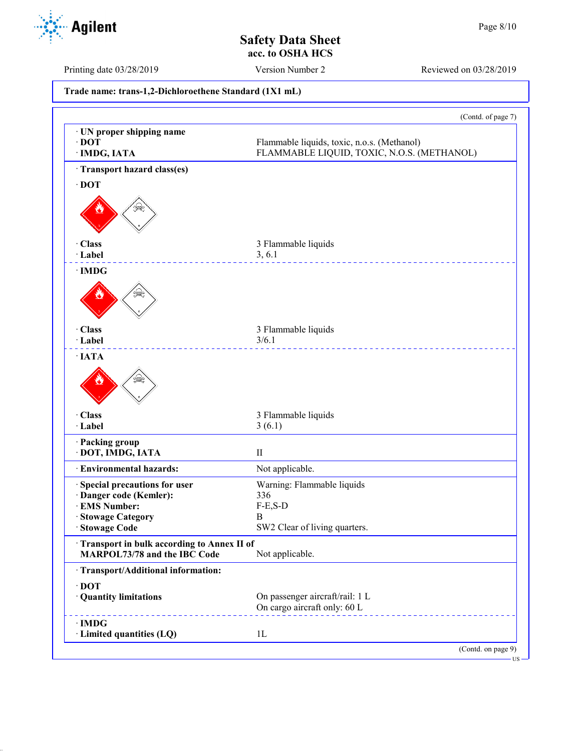

Printing date 03/28/2019 Version Number 2 Reviewed on 03/28/2019

**Trade name: trans-1,2-Dichloroethene Standard (1X1 mL)** (Contd. of page 7) · **UN proper shipping name** · **DOT** Flammable liquids, toxic, n.o.s. (Methanol) · **IMDG, IATA** FLAMMABLE LIQUID, TOXIC, N.O.S. (METHANOL) · **Transport hazard class(es)** · **DOT** · **Class** 3 Flammable liquids · **Label** 3, 6.1 <u>\_\_\_\_\_\_\_\_\_\_\_\_\_\_\_</u> · **IMDG** · **Class** 3 Flammable liquids · **Label** 3/6.1 <u>. . . . . . . . . . . . .</u> · **IATA** · **Class** 3 Flammable liquids · **Label** 3 (6.1) · **Packing group** · **DOT, IMDG, IATA** II · **Environmental hazards:** Not applicable. · **Special precautions for user** Warning: Flammable liquids · **Danger code (Kemler):** 336  $\cdot$  **EMS Number:** · **Stowage Category** B SW2 Clear of living quarters. · **Transport in bulk according to Annex II of MARPOL73/78 and the IBC Code** Not applicable. · **Transport/Additional information:** · **DOT** · **Quantity limitations** On passenger aircraft/rail: 1 L On cargo aircraft only: 60 L · **IMDG** · **Limited quantities (LQ)** 1L (Contd. on page 9)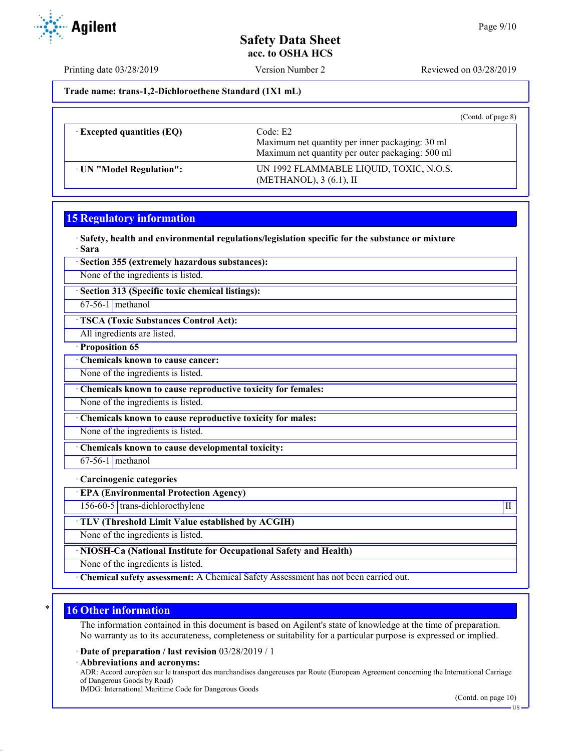

Printing date 03/28/2019 Version Number 2 Reviewed on 03/28/2019

**Trade name: trans-1,2-Dichloroethene Standard (1X1 mL)**

|                                  | (Contd. of page $8$ )                                                                                           |
|----------------------------------|-----------------------------------------------------------------------------------------------------------------|
| $\cdot$ Excepted quantities (EQ) | Code: E2<br>Maximum net quantity per inner packaging: 30 ml<br>Maximum net quantity per outer packaging: 500 ml |
| · UN "Model Regulation":         | UN 1992 FLAMMABLE LIQUID, TOXIC, N.O.S.<br>(METHANOL), 3 (6.1), II                                              |

### **15 Regulatory information**

· **Safety, health and environmental regulations/legislation specific for the substance or mixture** · **Sara**

· **Section 355 (extremely hazardous substances):**

None of the ingredients is listed.

· **Section 313 (Specific toxic chemical listings):**

67-56-1 methanol

· **TSCA (Toxic Substances Control Act):**

All ingredients are listed.

· **Proposition 65**

· **Chemicals known to cause cancer:**

None of the ingredients is listed.

· **Chemicals known to cause reproductive toxicity for females:**

None of the ingredients is listed.

· **Chemicals known to cause reproductive toxicity for males:**

None of the ingredients is listed.

· **Chemicals known to cause developmental toxicity:**

67-56-1 methanol

· **Carcinogenic categories**

· **EPA (Environmental Protection Agency)**

156-60-5 trans-dichloroethylene III

· **TLV (Threshold Limit Value established by ACGIH)**

None of the ingredients is listed.

· **NIOSH-Ca (National Institute for Occupational Safety and Health)**

None of the ingredients is listed.

· **Chemical safety assessment:** A Chemical Safety Assessment has not been carried out.

## **16 Other information**

The information contained in this document is based on Agilent's state of knowledge at the time of preparation. No warranty as to its accurateness, completeness or suitability for a particular purpose is expressed or implied.

· **Date of preparation / last revision** 03/28/2019 / 1

· **Abbreviations and acronyms:**

ADR: Accord européen sur le transport des marchandises dangereuses par Route (European Agreement concerning the International Carriage of Dangerous Goods by Road)

IMDG: International Maritime Code for Dangerous Goods

(Contd. on page 10)

 $-11S$